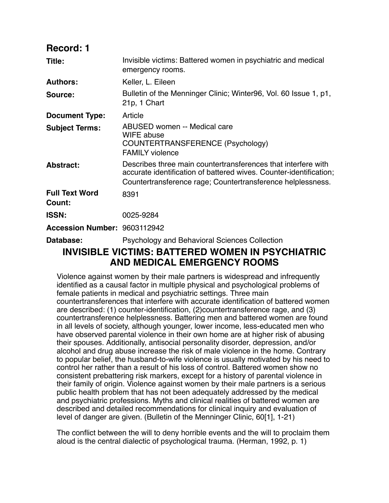| <b>Record: 1</b>                |                                                                                                                                                                                                    |
|---------------------------------|----------------------------------------------------------------------------------------------------------------------------------------------------------------------------------------------------|
| Title:                          | Invisible victims: Battered women in psychiatric and medical<br>emergency rooms.                                                                                                                   |
| <b>Authors:</b>                 | Keller, L. Eileen                                                                                                                                                                                  |
| Source:                         | Bulletin of the Menninger Clinic; Winter96, Vol. 60 Issue 1, p1,<br>21p, 1 Chart                                                                                                                   |
| <b>Document Type:</b>           | Article                                                                                                                                                                                            |
| <b>Subject Terms:</b>           | ABUSED women -- Medical care<br>WIFE abuse<br>COUNTERTRANSFERENCE (Psychology)<br><b>FAMILY violence</b>                                                                                           |
| <b>Abstract:</b>                | Describes three main countertransferences that interfere with<br>accurate identification of battered wives. Counter-identification;<br>Countertransference rage; Countertransference helplessness. |
| <b>Full Text Word</b><br>Count: | 8391                                                                                                                                                                                               |
| <b>ISSN:</b>                    | 0025-9284                                                                                                                                                                                          |
| Accession Number: 9603112942    |                                                                                                                                                                                                    |
| Database:                       | <b>Psychology and Behavioral Sciences Collection</b>                                                                                                                                               |
|                                 | INVISIBLE VICTIMS: BATTERED WOMEN IN PSYCHIATRIC                                                                                                                                                   |

# **INVISIBLE VICTIMS: BATTERED WOMEN IN PSYCHIATRIC AND MEDICAL EMERGENCY ROOMS**

Violence against women by their male partners is widespread and infrequently identified as a causal factor in multiple physical and psychological problems of female patients in medical and psychiatric settings. Three main countertransferences that interfere with accurate identification of battered women are described: (1) counter-identification, (2)countertransference rage, and (3) countertransference helplessness. Battering men and battered women are found in all levels of society, although younger, lower income, less-educated men who have observed parental violence in their own home are at higher risk of abusing their spouses. Additionally, antisocial personality disorder, depression, and/or alcohol and drug abuse increase the risk of male violence in the home. Contrary to popular belief, the husband-to-wife violence is usually motivated by his need to control her rather than a result of his loss of control. Battered women show no consistent prebattering risk markers, except for a history of parental violence in their family of origin. Violence against women by their male partners is a serious public health problem that has not been adequately addressed by the medical and psychiatric professions. Myths and clinical realities of battered women are described and detailed recommendations for clinical inquiry and evaluation of level of danger are given. (Bulletin of the Menninger Clinic, 60[1], 1-21)

The conflict between the will to deny horrible events and the will to proclaim them aloud is the central dialectic of psychological trauma. (Herman, 1992, p. 1)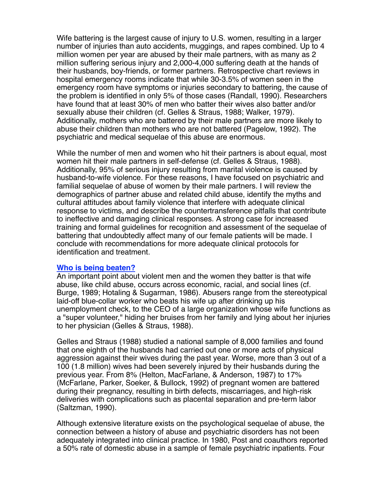Wife battering is the largest cause of injury to U.S. women, resulting in a larger number of injuries than auto accidents, muggings, and rapes combined. Up to 4 million women per year are abused by their male partners, with as many as 2 million suffering serious injury and 2,000-4,000 suffering death at the hands of their husbands, boy-friends, or former partners. Retrospective chart reviews in hospital emergency rooms indicate that while 30-3.5% of women seen in the emergency room have symptoms or injuries secondary to battering, the cause of the problem is identified in only 5% of those cases (Randall, 1990). Researchers have found that at least 30% of men who batter their wives also batter and/or sexually abuse their children (cf. Gelles & Straus, 1988; Walker, 1979). Additionally, mothers who are battered by their male partners are more likely to abuse their children than mothers who are not battered (Pagelow, 1992). The psychiatric and medical sequelae of this abuse are enormous.

While the number of men and women who hit their partners is about equal, most women hit their male partners in self-defense (cf. Gelles & Straus, 1988). Additionally, 95% of serious injury resulting from marital violence is caused by husband-to-wife violence. For these reasons, I have focused on psychiatric and familial sequelae of abuse of women by their male partners. I will review the demographics of partner abuse and related child abuse, identify the myths and cultural attitudes about family violence that interfere with adequate clinical response to victims, and describe the countertransference pitfalls that contribute to ineffective and damaging clinical responses. A strong case for increased training and formal guidelines for recognition and assessment of the sequelae of battering that undoubtedly affect many of our female patients will be made. I conclude with recommendations for more adequate clinical protocols for identification and treatment.

#### **Who is being beaten?**

An important point about violent men and the women they batter is that wife abuse, like child abuse, occurs across economic, racial, and social lines (cf. Burge, 1989; Hotaling & Sugarman, 1986). Abusers range from the stereotypical laid-off blue-collar worker who beats his wife up after drinking up his unemployment check, to the CEO of a large organization whose wife functions as a "super volunteer," hiding her bruises from her family and lying about her injuries to her physician (Gelles & Straus, 1988).

Gelles and Straus (1988) studied a national sample of 8,000 families and found that one eighth of the husbands had carried out one or more acts of physical aggression against their wives during the past year. Worse, more than 3 out of a 100 (1.8 million) wives had been severely injured by their husbands during the previous year. From 8% (Helton, MacFarlane, & Anderson, 1987) to 17% (McFarlane, Parker, Soeker, & Bullock, 1992) of pregnant women are battered during their pregnancy, resulting in birth defects, miscarriages, and high-risk deliveries with complications such as placental separation and pre-term labor (Saltzman, 1990).

Although extensive literature exists on the psychological sequelae of abuse, the connection between a history of abuse and psychiatric disorders has not been adequately integrated into clinical practice. In 1980, Post and coauthors reported a 50% rate of domestic abuse in a sample of female psychiatric inpatients. Four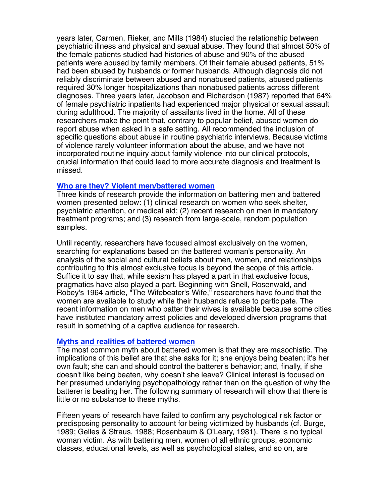years later, Carmen, Rieker, and Mills (1984) studied the relationship between psychiatric illness and physical and sexual abuse. They found that almost 50% of the female patients studied had histories of abuse and 90% of the abused patients were abused by family members. Of their female abused patients, 51% had been abused by husbands or former husbands. Although diagnosis did not reliably discriminate between abused and nonabused patients, abused patients required 30% longer hospitalizations than nonabused patients across different diagnoses. Three years later, Jacobson and Richardson (1987) reported that 64% of female psychiatric inpatients had experienced major physical or sexual assault during adulthood. The majority of assailants lived in the home. All of these researchers make the point that, contrary to popular belief, abused women do report abuse when asked in a safe setting. All recommended the inclusion of specific questions about abuse in routine psychiatric interviews. Because victims of violence rarely volunteer information about the abuse, and we have not incorporated routine inquiry about family violence into our clinical protocols, crucial information that could lead to more accurate diagnosis and treatment is missed.

#### **Who are they? Violent men/battered women**

Three kinds of research provide the information on battering men and battered women presented below: (1) clinical research on women who seek shelter, psychiatric attention, or medical aid; (2) recent research on men in mandatory treatment programs; and (3) research from large-scale, random population samples.

Until recently, researchers have focused almost exclusively on the women, searching for explanations based on the battered woman's personality. An analysis of the social and cultural beliefs about men, women, and relationships contributing to this almost exclusive focus is beyond the scope of this article. Suffice it to say that, while sexism has played a part in that exclusive focus, pragmatics have also played a part. Beginning with Snell, Rosenwald, and Robey's 1964 article, "The Wifebeater's Wife," researchers have found that the women are available to study while their husbands refuse to participate. The recent information on men who batter their wives is available because some cities have instituted mandatory arrest policies and developed diversion programs that result in something of a captive audience for research.

#### **Myths and realities of battered women**

The most common myth about battered women is that they are masochistic. The implications of this belief are that she asks for it; she enjoys being beaten; it's her own fault; she can and should control the batterer's behavior; and, finally, if she doesn't like being beaten, why doesn't she leave? Clinical interest is focused on her presumed underlying psychopathology rather than on the question of why the batterer is beating her. The following summary of research will show that there is little or no substance to these myths.

Fifteen years of research have failed to confirm any psychological risk factor or predisposing personality to account for being victimized by husbands (cf. Burge, 1989; Gelles & Straus, 1988; Rosenbaum & O'Leary, 1981). There is no typical woman victim. As with battering men, women of all ethnic groups, economic classes, educational levels, as well as psychological states, and so on, are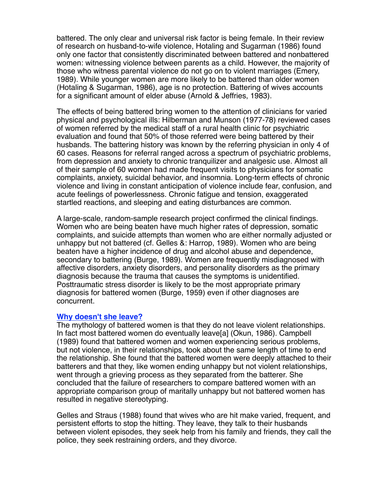battered. The only clear and universal risk factor is being female. In their review of research on husband-to-wife violence, Hotaling and Sugarman (1986) found only one factor that consistently discriminated between battered and nonbattered women: witnessing violence between parents as a child. However, the majority of those who witness parental violence do not go on to violent marriages (Emery, 1989). While younger women are more likely to be battered than older women (Hotaling & Sugarman, 1986), age is no protection. Battering of wives accounts for a significant amount of elder abuse (Arnold & Jeffries, 1983).

The effects of being battered bring women to the attention of clinicians for varied physical and psychological ills: Hilberman and Munson (1977-78) reviewed cases of women referred by the medical staff of a rural health clinic for psychiatric evaluation and found that 50% of those referred were being battered by their husbands. The battering history was known by the referring physician in only 4 of 60 cases. Reasons for referral ranged across a spectrum of psychiatric problems, from depression and anxiety to chronic tranquilizer and analgesic use. Almost all of their sample of 60 women had made frequent visits to physicians for somatic complaints, anxiety, suicidal behavior, and insomnia. Long-term effects of chronic violence and living in constant anticipation of violence include fear, confusion, and acute feelings of powerlessness. Chronic fatigue and tension, exaggerated startled reactions, and sleeping and eating disturbances are common.

A large-scale, random-sample research project confirmed the clinical findings. Women who are being beaten have much higher rates of depression, somatic complaints, and suicide attempts than women who are either normally adjusted or unhappy but not battered (cf. Gelles &: Harrop, 1989). Women who are being beaten have a higher incidence of drug and alcohol abuse and dependence, secondary to battering (Burge, 1989). Women are frequently misdiagnosed with affective disorders, anxiety disorders, and personality disorders as the primary diagnosis because the trauma that causes the symptoms is unidentified. Posttraumatic stress disorder is likely to be the most appropriate primary diagnosis for battered women (Burge, 1959) even if other diagnoses are concurrent.

#### **Why doesn't she leave?**

The mythology of battered women is that they do not leave violent relationships. In fact most battered women do eventually leave[a] (Okun, 1986). Campbell (1989) found that battered women and women experiencing serious problems, but not violence, in their relationships, took about the same length of time to end the relationship. She found that the battered women were deeply attached to their batterers and that they, like women ending unhappy but not violent relationships, went through a grieving process as they separated from the batterer. She concluded that the failure of researchers to compare battered women with an appropriate comparison group of maritally unhappy but not battered women has resulted in negative stereotyping.

Gelles and Straus (1988) found that wives who are hit make varied, frequent, and persistent efforts to stop the hitting. They leave, they talk to their husbands between violent episodes, they seek help from his family and friends, they call the police, they seek restraining orders, and they divorce.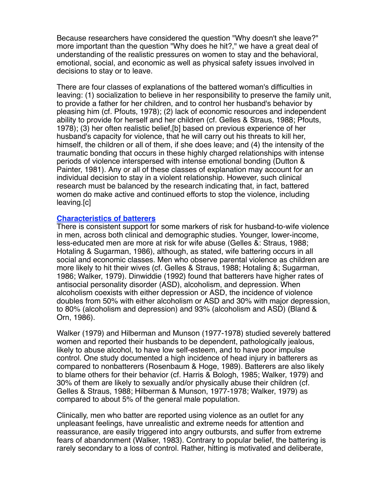Because researchers have considered the question "Why doesn't she leave?" more important than the question "Why does he hit?," we have a great deal of understanding of the realistic pressures on women to stay and the behavioral, emotional, social, and economic as well as physical safety issues involved in decisions to stay or to leave.

There are four classes of explanations of the battered woman's difficulties in leaving: (1) socialization to believe in her responsibility to preserve the family unit, to provide a father for her children, and to control her husband's behavior by pleasing him (cf. Pfouts, 1978); (2) lack of economic resources and independent ability to provide for herself and her children (cf. Gelles & Straus, 1988; Pfouts, 1978); (3) her often realistic belief,[b] based on previous experience of her husband's capacity for violence, that he will carry out his threats to kill her, himself, the children or all of them, if she does leave; and (4) the intensity of the traumatic bonding that occurs in these highly charged relationships with intense periods of violence interspersed with intense emotional bonding (Dutton & Painter, 1981). Any or all of these classes of explanation may account for an individual decision to stay in a violent relationship. However, such clinical research must be balanced by the research indicating that, in fact, battered women do make active and continued efforts to stop the violence, including leaving.[c]

#### **Characteristics of batterers**

There is consistent support for some markers of risk for husband-to-wife violence in men, across both clinical and demographic studies. Younger, lower-income, less-educated men are more at risk for wife abuse (Gelles &: Straus, 1988; Hotaling & Sugarman, 1986), although, as stated, wife battering occurs in all social and economic classes. Men who observe parental violence as children are more likely to hit their wives (cf. Gelles & Straus, 1988; Hotaling &; Sugarman, 1986; Walker, 1979). Dinwiddie (1992) found that batterers have higher rates of antisocial personality disorder (ASD), alcoholism, and depression. When alcoholism coexists with either depression or ASD, the incidence of violence doubles from 50% with either alcoholism or ASD and 30% with major depression, to 80% (alcoholism and depression) and 93% (alcoholism and ASD) (Bland & Orn, 1986).

Walker (1979) and Hilberman and Munson (1977-1978) studied severely battered women and reported their husbands to be dependent, pathologically jealous, likely to abuse alcohol, to have low self-esteem, and to have poor impulse control. One study documented a high incidence of head injury in batterers as compared to nonbatterers (Rosenbaum & Hoge, 1989). Batterers are also likely to blame others for their behavior (cf. Harris & Bologh, 1985; Walker, 1979) and 30% of them are likely to sexually and/or physically abuse their children (cf. Gelles & Straus, 1988; Hilberman & Munson, 1977-1978; Walker, 1979) as compared to about 5% of the general male population.

Clinically, men who batter are reported using violence as an outlet for any unpleasant feelings, have unrealistic and extreme needs for attention and reassurance, are easily triggered into angry outbursts, and suffer from extreme fears of abandonment (Walker, 1983). Contrary to popular belief, the battering is rarely secondary to a loss of control. Rather, hitting is motivated and deliberate,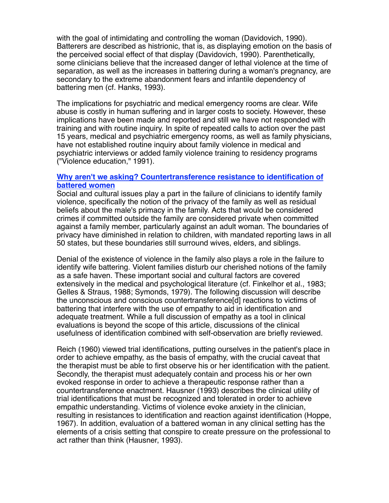with the goal of intimidating and controlling the woman (Davidovich, 1990). Batterers are described as histrionic, that is, as displaying emotion on the basis of the perceived social effect of that display (Davidovich, 1990). Parenthetically, some clinicians believe that the increased danger of lethal violence at the time of separation, as well as the increases in battering during a woman's pregnancy, are secondary to the extreme abandonment fears and infantile dependency of battering men (cf. Hanks, 1993).

The implications for psychiatric and medical emergency rooms are clear. Wife abuse is costly in human suffering and in larger costs to society. However, these implications have been made and reported and still we have not responded with training and with routine inquiry. In spite of repeated calls to action over the past 15 years, medical and psychiatric emergency rooms, as well as family physicians, have not established routine inquiry about family violence in medical and psychiatric interviews or added family violence training to residency programs ("Violence education," 1991).

## **Why aren't we asking? Countertransference resistance to identification of battered women**

Social and cultural issues play a part in the failure of clinicians to identify family violence, specifically the notion of the privacy of the family as well as residual beliefs about the male's primacy in the family. Acts that would be considered crimes if committed outside the family are considered private when committed against a family member, particularly against an adult woman. The boundaries of privacy have diminished in relation to children, with mandated reporting laws in all 50 states, but these boundaries still surround wives, elders, and siblings.

Denial of the existence of violence in the family also plays a role in the failure to identify wife battering. Violent families disturb our cherished notions of the family as a safe haven. These important social and cultural factors are covered extensively in the medical and psychological literature (cf. Finkelhor et al., 1983; Gelles & Straus, 1988; Symonds, 1979). The following discussion will describe the unconscious and conscious countertransference[d] reactions to victims of battering that interfere with the use of empathy to aid in identification and adequate treatment. While a full discussion of empathy as a tool in clinical evaluations is beyond the scope of this article, discussions of the clinical usefulness of identification combined with self-observation are briefly reviewed.

Reich (1960) viewed trial identifications, putting ourselves in the patient's place in order to achieve empathy, as the basis of empathy, with the crucial caveat that the therapist must be able to first observe his or her identification with the patient. Secondly, the therapist must adequately contain and process his or her own evoked response in order to achieve a therapeutic response rather than a countertransference enactment. Hausner (1993) describes the clinical utility of trial identifications that must be recognized and tolerated in order to achieve empathic understanding. Victims of violence evoke anxiety in the clinician, resulting in resistances to identification and reaction against identification (Hoppe, 1967). In addition, evaluation of a battered woman in any clinical setting has the elements of a crisis setting that conspire to create pressure on the professional to act rather than think (Hausner, 1993).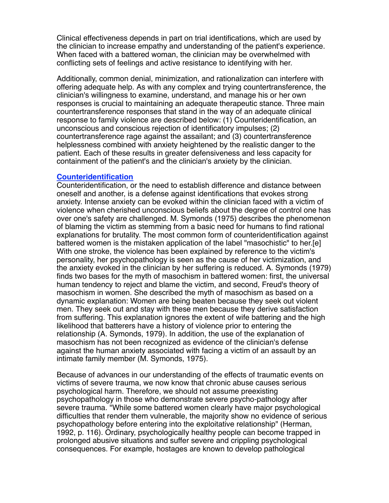Clinical effectiveness depends in part on trial identifications, which are used by the clinician to increase empathy and understanding of the patient's experience. When faced with a battered woman, the clinician may be overwhelmed with conflicting sets of feelings and active resistance to identifying with her.

Additionally, common denial, minimization, and rationalization can interfere with offering adequate help. As with any complex and trying countertransference, the clinician's willingness to examine, understand, and manage his or her own responses is crucial to maintaining an adequate therapeutic stance. Three main countertransference responses that stand in the way of an adequate clinical response to family violence are described below: (1) Counteridentification, an unconscious and conscious rejection of identificatory impulses; (2) countertransference rage against the assailant; and (3) countertransference helplessness combined with anxiety heightened by the realistic danger to the patient. Each of these results in greater defensiveness and less capacity for containment of the patient's and the clinician's anxiety by the clinician.

#### **Counteridentification**

Counteridentification, or the need to establish difference and distance between oneself and another, is a defense against identifications that evokes strong anxiety. Intense anxiety can be evoked within the clinician faced with a victim of violence when cherished unconscious beliefs about the degree of control one has over one's safety are challenged. M. Symonds (1975) describes the phenomenon of blaming the victim as stemming from a basic need for humans to find rational explanations for brutality. The most common form of counteridentification against battered women is the mistaken application of the label "masochistic" to her.[e] With one stroke, the violence has been explained by reference to the victim's personality, her psychopathology is seen as the cause of her victimization, and the anxiety evoked in the clinician by her suffering is reduced. A. Symonds (1979) finds two bases for the myth of masochism in battered women: first, the universal human tendency to reject and blame the victim, and second, Freud's theory of masochism in women. She described the myth of masochism as based on a dynamic explanation: Women are being beaten because they seek out violent men. They seek out and stay with these men because they derive satisfaction from suffering. This explanation ignores the extent of wife battering and the high likelihood that batterers have a history of violence prior to entering the relationship (A. Symonds, 1979). In addition, the use of the explanation of masochism has not been recognized as evidence of the clinician's defense against the human anxiety associated with facing a victim of an assault by an intimate family member (M. Symonds, 1975).

Because of advances in our understanding of the effects of traumatic events on victims of severe trauma, we now know that chronic abuse causes serious psychological harm. Therefore, we should not assume preexisting psychopathology in those who demonstrate severe psycho-pathology after severe trauma. "While some battered women clearly have major psychological difficulties that render them vulnerable, the majority show no evidence of serious psychopathology before entering into the exploitative relationship" (Herman, 1992, p. 116). Ordinary, psychologically healthy people can become trapped in prolonged abusive situations and suffer severe and crippling psychological consequences. For example, hostages are known to develop pathological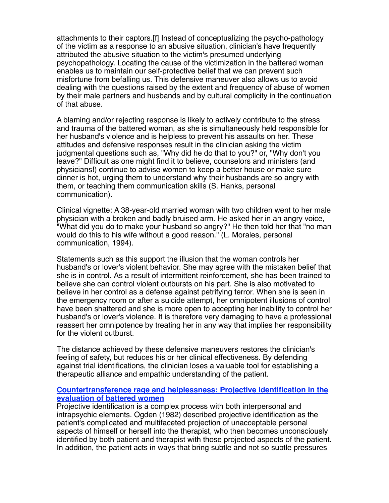attachments to their captors.[f] Instead of conceptualizing the psycho-pathology of the victim as a response to an abusive situation, clinician's have frequently attributed the abusive situation to the victim's presumed underlying psychopathology. Locating the cause of the victimization in the battered woman enables us to maintain our self-protective belief that we can prevent such misfortune from befalling us. This defensive maneuver also allows us to avoid dealing with the questions raised by the extent and frequency of abuse of women by their male partners and husbands and by cultural complicity in the continuation of that abuse.

A blaming and/or rejecting response is likely to actively contribute to the stress and trauma of the battered woman, as she is simultaneously held responsible for her husband's violence and is helpless to prevent his assaults on her. These attitudes and defensive responses result in the clinician asking the victim judgmental questions such as, "Why did he do that to you?" or, "Why don't you leave?" Difficult as one might find it to believe, counselors and ministers (and physicians!) continue to advise women to keep a better house or make sure dinner is hot, urging them to understand why their husbands are so angry with them, or teaching them communication skills (S. Hanks, personal communication).

Clinical vignette: A 38-year-old married woman with two children went to her male physician with a broken and badly bruised arm. He asked her in an angry voice, "What did you do to make your husband so angry?" He then told her that "no man would do this to his wife without a good reason." (L. Morales, personal communication, 1994).

Statements such as this support the illusion that the woman controls her husband's or lover's violent behavior. She may agree with the mistaken belief that she is in control. As a result of intermittent reinforcement, she has been trained to believe she can control violent outbursts on his part. She is also motivated to believe in her control as a defense against petrifying terror. When she is seen in the emergency room or after a suicide attempt, her omnipotent illusions of control have been shattered and she is more open to accepting her inability to control her husband's or lover's violence. It is therefore very damaging to have a professional reassert her omnipotence by treating her in any way that implies her responsibility for the violent outburst.

The distance achieved by these defensive maneuvers restores the clinician's feeling of safety, but reduces his or her clinical effectiveness. By defending against trial identifications, the clinician loses a valuable tool for establishing a therapeutic alliance and empathic understanding of the patient.

## **Countertransference rage and helplessness: Projective identification in the evaluation of battered women**

Projective identification is a complex process with both interpersonal and intrapsychic elements. Ogden (1982) described projective identification as the patient's complicated and multifaceted projection of unacceptable personal aspects of himself or herself into the therapist, who then becomes unconsciously identified by both patient and therapist with those projected aspects of the patient. In addition, the patient acts in ways that bring subtle and not so subtle pressures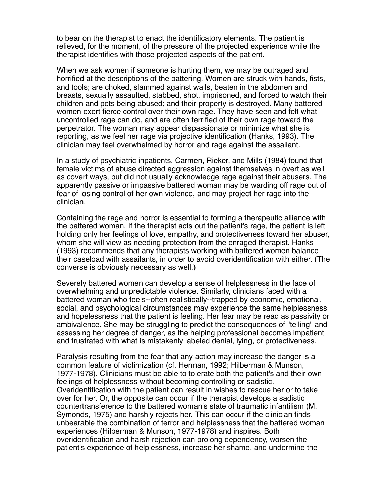to bear on the therapist to enact the identificatory elements. The patient is relieved, for the moment, of the pressure of the projected experience while the therapist identifies with those projected aspects of the patient.

When we ask women if someone is hurting them, we may be outraged and horrified at the descriptions of the battering. Women are struck with hands, fists, and tools; are choked, slammed against walls, beaten in the abdomen and breasts, sexually assaulted, stabbed, shot, imprisoned, and forced to watch their children and pets being abused; and their property is destroyed. Many battered women exert fierce control over their own rage. They have seen and felt what uncontrolled rage can do, and are often terrified of their own rage toward the perpetrator. The woman may appear dispassionate or minimize what she is reporting, as we feel her rage via projective identification (Hanks, 1993). The clinician may feel overwhelmed by horror and rage against the assailant.

In a study of psychiatric inpatients, Carmen, Rieker, and Mills (1984) found that female victims of abuse directed aggression against themselves in overt as well as covert ways, but did not usually acknowledge rage against their abusers. The apparently passive or impassive battered woman may be warding off rage out of fear of losing control of her own violence, and may project her rage into the clinician.

Containing the rage and horror is essential to forming a therapeutic alliance with the battered woman. If the therapist acts out the patient's rage, the patient is left holding only her feelings of love, empathy, and protectiveness toward her abuser, whom she will view as needing protection from the enraged therapist. Hanks (1993) recommends that any therapists working with battered women balance their caseload with assailants, in order to avoid overidentification with either. (The converse is obviously necessary as well.)

Severely battered women can develop a sense of helplessness in the face of overwhelming and unpredictable violence. Similarly, clinicians faced with a battered woman who feels--often realistically--trapped by economic, emotional, social, and psychological circumstances may experience the same helplessness and hopelessness that the patient is feeling. Her fear may be read as passivity or ambivalence. She may be struggling to predict the consequences of "telling" and assessing her degree of danger, as the helping professional becomes impatient and frustrated with what is mistakenly labeled denial, lying, or protectiveness.

Paralysis resulting from the fear that any action may increase the danger is a common feature of victimization (cf. Herman, 1992; Hilberman & Munson, 1977-1978). Clinicians must be able to tolerate both the patient's and their own feelings of helplessness without becoming controlling or sadistic. Overidentification with the patient can result in wishes to rescue her or to take over for her. Or, the opposite can occur if the therapist develops a sadistic countertransference to the battered woman's state of traumatic infantilism (M. Symonds, 1975) and harshly rejects her. This can occur if the clinician finds unbearable the combination of terror and helplessness that the battered woman experiences (Hilberman & Munson, 1977-1978) and inspires. Both overidentification and harsh rejection can prolong dependency, worsen the patient's experience of helplessness, increase her shame, and undermine the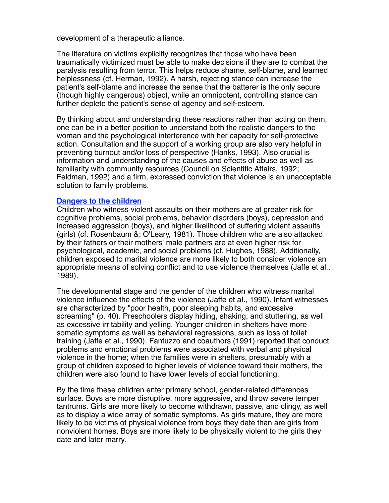development of a therapeutic alliance.

The literature on victims explicitly recognizes that those who have been traumatically victimized must be able to make decisions if they are to combat the paralysis resulting from terror. This helps reduce shame, self-blame, and learned helplessness (cf. Herman, 1992). A harsh, rejecting stance can increase the patient's self-blame and increase the sense that the batterer is the only secure (though highly dangerous) object, while an omnipotent, controlling stance can further deplete the patient's sense of agency and self-esteem.

By thinking about and understanding these reactions rather than acting on them, one can be in a better position to understand both the realistic dangers to the woman and the psychological interference with her capacity for self-protective action. Consultation and the support of a working group are also very helpful in preventing burnout and/or loss of perspective (Hanks, 1993). Also crucial is information and understanding of the causes and effects of abuse as well as familiarity with community resources (Council on Scientific Affairs, 1992; Feldman, 1992) and a firm, expressed conviction that violence is an unacceptable solution to family problems.

#### **Dangers to the children**

Children who witness violent assaults on their mothers are at greater risk for cognitive problems, social problems, behavior disorders (boys), depression and increased aggression (boys), and higher likelihood of suffering violent assaults (girls) (cf. Rosenbaum &: O'Leary, 1981). Those children who are also attacked by their fathers or their mothers' male partners are at even higher risk for psychological, academic, and social problems (cf. Hughes, 1988). Additionally, children exposed to marital violence are more likely to both consider violence an appropriate means of solving conflict and to use violence themselves (Jaffe et al., 1989).

The developmental stage and the gender of the children who witness marital violence influence the effects of the violence (Jaffe et a!., 1990). Infant witnesses are characterized by "poor health, poor sleeping habits, and excessive screaming" (p. 40). Preschoolers display hiding, shaking, and stuttering, as well as excessive irritability and yelling. Younger children in shelters have more somatic symptoms as well as behavioral regressions, such as loss of toilet training (Jaffe et al., 1990). Fantuzzo and coauthors (1991) reported that conduct problems and emotional problems were associated with verbal and physical violence in the home; when the families were in shelters, presumably with a group of children exposed to higher levels of violence toward their mothers, the children were also found to have lower levels of social functioning.

By the time these children enter primary school, gender-related differences surface. Boys are more disruptive, more aggressive, and throw severe temper tantrums. Girls are more likely to become withdrawn, passive, and clingy, as well as to display a wide array of somatic symptoms. As girls mature, they are more likely to be victims of physical violence from boys they date than are girls from nonviolent homes. Boys are more likely to be physically violent to the girls they date and later marry.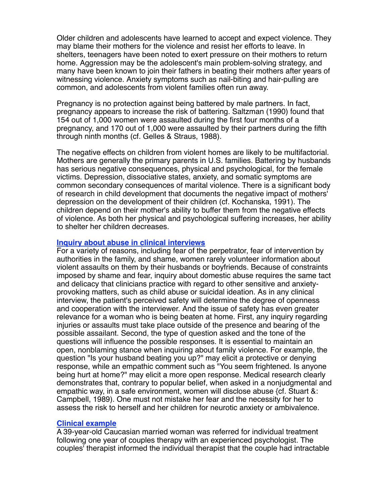Older children and adolescents have learned to accept and expect violence. They may blame their mothers for the violence and resist her efforts to leave. In shelters, teenagers have been noted to exert pressure on their mothers to return home. Aggression may be the adolescent's main problem-solving strategy, and many have been known to join their fathers in beating their mothers after years of witnessing violence. Anxiety symptoms such as nail-biting and hair-pulling are common, and adolescents from violent families often run away.

Pregnancy is no protection against being battered by male partners. In fact, pregnancy appears to increase the risk of battering. Saltzman (1990) found that 154 out of 1,000 women were assaulted during the first four months of a pregnancy, and 170 out of 1,000 were assaulted by their partners during the fifth through ninth months (cf. Gelles & Straus, 1988).

The negative effects on children from violent homes are likely to be multifactorial. Mothers are generally the primary parents in U.S. families. Battering by husbands has serious negative consequences, physical and psychological, for the female victims. Depression, dissociative states, anxiety, and somatic symptoms are common secondary consequences of marital violence. There is a significant body of research in child development that documents the negative impact of mothers' depression on the development of their children (cf. Kochanska, 1991). The children depend on their mother's ability to buffer them from the negative effects of violence. As both her physical and psychological suffering increases, her ability to shelter her children decreases.

## **Inquiry about abuse in clinical interviews**

For a variety of reasons, including fear of the perpetrator, fear of intervention by authorities in the family, and shame, women rarely volunteer information about violent assaults on them by their husbands or boyfriends. Because of constraints imposed by shame and fear, inquiry about domestic abuse requires the same tact and delicacy that clinicians practice with regard to other sensitive and anxietyprovoking matters, such as child abuse or suicidal ideation. As in any clinical interview, the patient's perceived safety will determine the degree of openness and cooperation with the interviewer. And the issue of safety has even greater relevance for a woman who is being beaten at home. First, any inquiry regarding injuries or assaults must take place outside of the presence and bearing of the possible assailant. Second, the type of question asked and the tone of the questions will influence the possible responses. It is essential to maintain an open, nonblaming stance when inquiring about family violence. For example, the question "Is your husband beating you up?" may elicit a protective or denying response, while an empathic comment such as "You seem frightened. Is anyone being hurt at home?" may elicit a more open response. Medical research clearly demonstrates that, contrary to popular belief, when asked in a nonjudgmental and empathic way, in a safe environment, women will disclose abuse {cf. Stuart &: Campbell, 1989). One must not mistake her fear and the necessity for her to assess the risk to herself and her children for neurotic anxiety or ambivalence.

## **Clinical example**

A 39-year-old Caucasian married woman was referred for individual treatment following one year of couples therapy with an experienced psychologist. The couples' therapist informed the individual therapist that the couple had intractable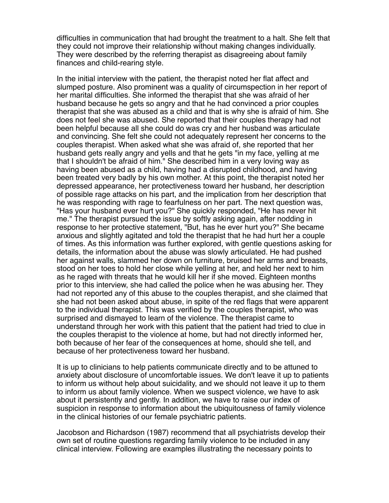difficulties in communication that had brought the treatment to a halt. She felt that they could not improve their relationship without making changes individually. They were described by the referring therapist as disagreeing about family finances and child-rearing style.

In the initial interview with the patient, the therapist noted her flat affect and slumped posture. Also prominent was a quality of circumspection in her report of her marital difficulties. She informed the therapist that she was afraid of her husband because he gets so angry and that he had convinced a prior couples therapist that she was abused as a child and that is why she is afraid of him. She does not feel she was abused. She reported that their couples therapy had not been helpful because all she could do was cry and her husband was articulate and convincing. She felt she could not adequately represent her concerns to the couples therapist. When asked what she was afraid of, she reported that her husband gets really angry and yells and that he gets "in my face, yelling at me that I shouldn't be afraid of him." She described him in a very loving way as having been abused as a child, having had a disrupted childhood, and having been treated very badly by his own mother. At this point, the therapist noted her depressed appearance, her protectiveness toward her husband, her description of possible rage attacks on his part, and the implication from her description that he was responding with rage to fearfulness on her part. The next question was, "Has your husband ever hurt you?" She quickly responded, "He has never hit me." The therapist pursued the issue by softly asking again, after nodding in response to her protective statement, "But, has he ever hurt you?" She became anxious and slightly agitated and told the therapist that he had hurt her a couple of times. As this information was further explored, with gentle questions asking for details, the information about the abuse was slowly articulated. He had pushed her against walls, slammed her down on furniture, bruised her arms and breasts, stood on her toes to hold her close while yelling at her, and held her next to him as he raged with threats that he would kill her if she moved. Eighteen months prior to this interview, she had called the police when he was abusing her. They had not reported any of this abuse to the couples therapist, and she claimed that she had not been asked about abuse, in spite of the red flags that were apparent to the individual therapist. This was verified by the couples therapist, who was surprised and dismayed to learn of the violence. The therapist came to understand through her work with this patient that the patient had tried to clue in the couples therapist to the violence at home, but had not directly informed her, both because of her fear of the consequences at home, should she tell, and because of her protectiveness toward her husband.

It is up to clinicians to help patients communicate directly and to be attuned to anxiety about disclosure of uncomfortable issues. We don't leave it up to patients to inform us without help about suicidality, and we should not leave it up to them to inform us about family violence. When we suspect violence, we have to ask about it persistently and gently. In addition, we have to raise our index of suspicion in response to information about the ubiquitousness of family violence in the clinical histories of our female psychiatric patients.

Jacobson and Richardson (1987) recommend that all psychiatrists develop their own set of routine questions regarding family violence to be included in any clinical interview. Following are examples illustrating the necessary points to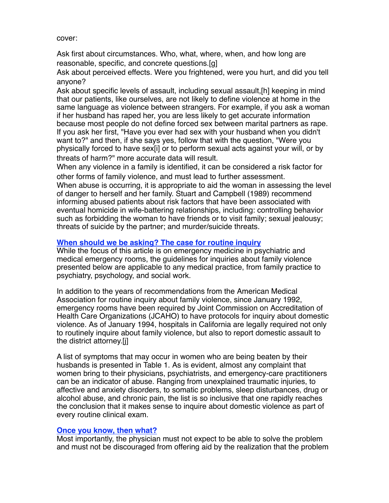cover:

Ask first about circumstances. Who, what, where, when, and how long are reasonable, specific, and concrete questions.[g]

Ask about perceived effects. Were you frightened, were you hurt, and did you tell anyone?

Ask about specific levels of assault, including sexual assault,[h] keeping in mind that our patients, like ourselves, are not likely to define violence at home in the same language as violence between strangers. For example, if you ask a woman if her husband has raped her, you are less likely to get accurate information because most people do not define forced sex between marital partners as rape. If you ask her first, "Have you ever had sex with your husband when you didn't want to?" and then, if she says yes, follow that with the question, "Were you physically forced to have sex[i] or to perform sexual acts against your will, or by threats of harm?" more accurate data will result.

When any violence in a family is identified, it can be considered a risk factor for other forms of family violence, and must lead to further assessment.

When abuse is occurring, it is appropriate to aid the woman in assessing the level of danger to herself and her family. Stuart and Campbell (1989) recommend informing abused patients about risk factors that have been associated with eventual homicide in wife-battering relationships, including: controlling behavior such as forbidding the woman to have friends or to visit family; sexual jealousy; threats of suicide by the partner; and murder/suicide threats.

# **When should we be asking? The case for routine inquiry**

While the focus of this article is on emergency medicine in psychiatric and medical emergency rooms, the guidelines for inquiries about family violence presented below are applicable to any medical practice, from family practice to psychiatry, psychology, and social work.

In addition to the years of recommendations from the American Medical Association for routine inquiry about family violence, since January 1992, emergency rooms have been required by Joint Commission on Accreditation of Health Care Organizations (JCAHO) to have protocols for inquiry about domestic violence. As of January 1994, hospitals in California are legally required not only to routinely inquire about family violence, but also to report domestic assault to the district attorney.[j]

A list of symptoms that may occur in women who are being beaten by their husbands is presented in Table 1. As is evident, almost any complaint that women bring to their physicians, psychiatrists, and emergency-care practitioners can be an indicator of abuse. Ranging from unexplained traumatic injuries, to affective and anxiety disorders, to somatic problems, sleep disturbances, drug or alcohol abuse, and chronic pain, the list is so inclusive that one rapidly reaches the conclusion that it makes sense to inquire about domestic violence as part of every routine clinical exam.

## **Once you know, then what?**

Most importantly, the physician must not expect to be able to solve the problem and must not be discouraged from offering aid by the realization that the problem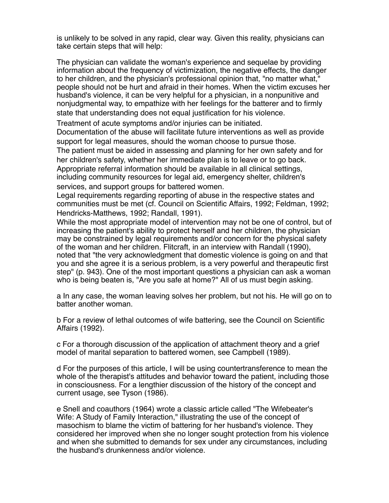is unlikely to be solved in any rapid, clear way. Given this reality, physicians can take certain steps that will help:

The physician can validate the woman's experience and sequelae by providing information about the frequency of victimization, the negative effects, the danger to her children, and the physician's professional opinion that, "no matter what," people should not be hurt and afraid in their homes. When the victim excuses her husband's violence, it can be very helpful for a physician, in a nonpunitive and nonjudgmental way, to empathize with her feelings for the batterer and to firmly state that understanding does not equal justification for his violence.

Treatment of acute symptoms and/or injuries can be initiated.

Documentation of the abuse will facilitate future interventions as well as provide support for legal measures, should the woman choose to pursue those.

The patient must be aided in assessing and planning for her own safety and for her children's safety, whether her immediate plan is to leave or to go back. Appropriate referral information should be available in all clinical settings, including community resources for legal aid, emergency shelter, children's services, and support groups for battered women.

Legal requirements regarding reporting of abuse in the respective states and communities must be met (cf. Council on Scientific Affairs, 1992; Feldman, 1992; Hendricks-Matthews, 1992; Randall, 1991).

While the most appropriate model of intervention may not be one of control, but of increasing the patient's ability to protect herself and her children, the physician may be constrained by legal requirements and/or concern for the physical safety of the woman and her children. Flitcraft, in an interview with Randall (1990), noted that "the very acknowledgment that domestic violence is going on and that you and she agree it is a serious problem, is a very powerful and therapeutic first step" (p. 943). One of the most important questions a physician can ask a woman who is being beaten is, "Are you safe at home?" All of us must begin asking.

a In any case, the woman leaving solves her problem, but not his. He will go on to batter another woman.

b For a review of lethal outcomes of wife battering, see the Council on Scientific Affairs (1992).

c For a thorough discussion of the application of attachment theory and a grief model of marital separation to battered women, see Campbell (1989).

d For the purposes of this article, I will be using countertransference to mean the whole of the therapist's attitudes and behavior toward the patient, including those in consciousness. For a lengthier discussion of the history of the concept and current usage, see Tyson (1986).

e Snell and coauthors (1964) wrote a classic article called "The Wifebeater's Wife: A Study of Family Interaction," illustrating the use of the concept of masochism to blame the victim of battering for her husband's violence. They considered her improved when she no longer sought protection from his violence and when she submitted to demands for sex under any circumstances, including the husband's drunkenness and/or violence.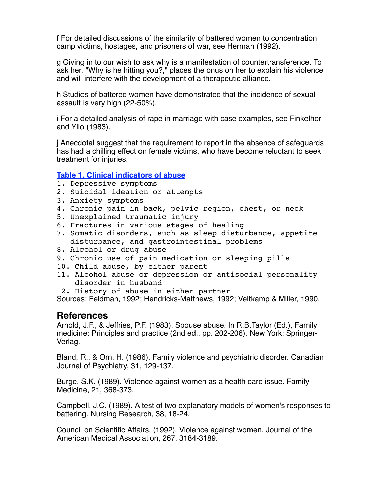f For detailed discussions of the similarity of battered women to concentration camp victims, hostages, and prisoners of war, see Herman (1992).

g Giving in to our wish to ask why is a manifestation of countertransference. To ask her, "Why is he hitting you?," places the onus on her to explain his violence and will interfere with the development of a therapeutic alliance.

h Studies of battered women have demonstrated that the incidence of sexual assault is very high (22-50%).

i For a detailed analysis of rape in marriage with case examples, see Finkelhor and Yllo (1983).

j Anecdotal suggest that the requirement to report in the absence of safeguards has had a chilling effect on female victims, who have become reluctant to seek treatment for injuries.

## **Table 1. Clinical indicators of abuse**

- 1. Depressive symptoms
- 2. Suicidal ideation or attempts
- 3. Anxiety symptoms
- 4. Chronic pain in back, pelvic region, chest, or neck
- 5. Unexplained traumatic injury
- 6. Fractures in various stages of healing
- 7. Somatic disorders, such as sleep disturbance, appetite disturbance, and gastrointestinal problems
- 8. Alcohol or drug abuse
- 9. Chronic use of pain medication or sleeping pills
- 10. Child abuse, by either parent
- 11. Alcohol abuse or depression or antisocial personality disorder in husband
- 12. History of abuse in either partner

Sources: Feldman, 1992; Hendricks-Matthews, 1992; Veltkamp & Miller, 1990.

# **References**

Arnold, J.F., & Jeffries, P.F. (1983). Spouse abuse. In R.B.Taylor (Ed.), Family medicine: Principles and practice (2nd ed., pp. 202-206). New York: Springer-Verlag.

Bland, R., & Orn, H. (1986). Family violence and psychiatric disorder. Canadian Journal of Psychiatry, 31, 129-137.

Burge, S.K. (1989). Violence against women as a health care issue. Family Medicine, 21, 368-373.

Campbell, J.C. (1989). A test of two explanatory models of women's responses to battering. Nursing Research, 38, 18-24.

Council on Scientific Affairs. (1992). Violence against women. Journal of the American Medical Association, 267, 3184-3189.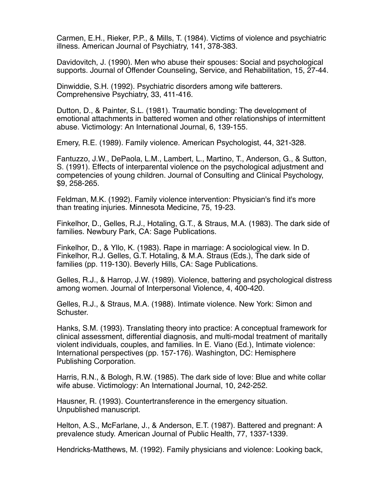Carmen, E.H., Rieker, P.P., & Mills, T. (1984). Victims of violence and psychiatric illness. American Journal of Psychiatry, 141, 378-383.

Davidovitch, J. (1990). Men who abuse their spouses: Social and psychological supports. Journal of Offender Counseling, Service, and Rehabilitation, 15, 27-44.

Dinwiddie, S.H. (1992). Psychiatric disorders among wife batterers. Comprehensive Psychiatry, 33, 411-416.

Dutton, D., & Painter, S.L. (1981). Traumatic bonding: The development of emotional attachments in battered women and other relationships of intermittent abuse. Victimology: An International Journal, 6, 139-155.

Emery, R.E. (1989). Family violence. American Psychologist, 44, 321-328.

Fantuzzo, J.W., DePaola, L.M., Lambert, L., Martino, T., Anderson, G., & Sutton, S. (1991). Effects of interparental violence on the psychological adjustment and competencies of young children. Journal of Consulting and Clinical Psychology, \$9, 258-265.

Feldman, M.K. (1992). Family violence intervention: Physician's find it's more than treating injuries. Minnesota Medicine, 75, 19-23.

Finkelhor, D., Gelles, R.J., Hotaling, G.T., & Straus, M.A. (1983). The dark side of families. Newbury Park, CA: Sage Publications.

Finkelhor, D., & Yllo, K. (1983). Rape in marriage: A sociological view. In D. Finkelhor, R.J. Gelles, G.T. Hotaling, & M.A. Straus (Eds.), The dark side of families (pp. 119-130). Beverly Hills, CA: Sage Publications.

Gelles, R.J., & Harrop, J.W. (1989). Violence, battering and psychological distress among women. Journal of Interpersonal Violence, 4, 400-420.

Gelles, R.J., & Straus, M.A. (1988). Intimate violence. New York: Simon and Schuster.

Hanks, S.M. (1993). Translating theory into practice: A conceptual framework for clinical assessment, differential diagnosis, and multi-modal treatment of maritally violent individuals, couples, and families. In E. Viano (Ed.), Intimate violence: International perspectives (pp. 157-176). Washington, DC: Hemisphere Publishing Corporation.

Harris, R.N., & Bologh, R.W. (1985). The dark side of love: Blue and white collar wife abuse. Victimology: An International Journal, 10, 242-252.

Hausner, R. (1993). Countertransference in the emergency situation. Unpublished manuscript.

Helton, A.S., McFarlane, J., & Anderson, E.T. (1987). Battered and pregnant: A prevalence study. American Journal of Public Health, 77, 1337-1339.

Hendricks-Matthews, M. (1992). Family physicians and violence: Looking back,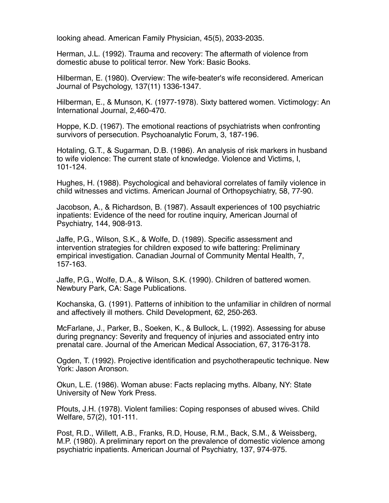looking ahead. American Family Physician, 45(5), 2033-2035.

Herman, J.L. (1992). Trauma and recovery: The aftermath of violence from domestic abuse to political terror. New York: Basic Books.

Hilberman, E. (1980). Overview: The wife-beater's wife reconsidered. American Journal of Psychology, 137(11) 1336-1347.

Hilberman, E., & Munson, K. (1977-1978). Sixty battered women. Victimology: An International Journal, 2,460-470.

Hoppe, K.D. (1967). The emotional reactions of psychiatrists when confronting survivors of persecution. Psychoanalytic Forum, 3, 187-196.

Hotaling, G.T., & Sugarman, D.B. (1986). An analysis of risk markers in husband to wife violence: The current state of knowledge. Violence and Victims, I, 101-124.

Hughes, H. (1988). Psychological and behavioral correlates of family violence in child witnesses and victims. American Journal of Orthopsychiatry, 58, 77-90.

Jacobson, A., & Richardson, B. (1987). Assault experiences of 100 psychiatric inpatients: Evidence of the need for routine inquiry, American Journal of Psychiatry, 144, 908-913.

Jaffe, P.G., Wilson, S.K., & Wolfe, D. (1989). Specific assessment and intervention strategies for children exposed to wife battering: Preliminary empirical investigation. Canadian Journal of Community Mental Health, 7, 157-163.

Jaffe, P.G., Wolfe, D.A., & Wilson, S.K. (1990). Children of battered women. Newbury Park, CA: Sage Publications.

Kochanska, G. (1991). Patterns of inhibition to the unfamiliar in children of normal and affectively ill mothers. Child Development, 62, 250-263.

McFarlane, J., Parker, B., Soeken, K., & Bullock, L. (1992). Assessing for abuse during pregnancy: Severity and frequency of injuries and associated entry into prenatal care. Journal of the American Medical Association, 67, 3176-3178.

Ogden, T. (1992). Projective identification and psychotherapeutic technique. New York: Jason Aronson.

Okun, L.E. (1986). Woman abuse: Facts replacing myths. Albany, NY: State University of New York Press.

Pfouts, J.H. (1978). Violent families: Coping responses of abused wives. Child Welfare, 57(2), 101-111.

Post, R.D., Willett, A.B., Franks, R.D, House, R.M., Back, S.M., & Weissberg, M.P. (1980). A preliminary report on the prevalence of domestic violence among psychiatric inpatients. American Journal of Psychiatry, 137, 974-975.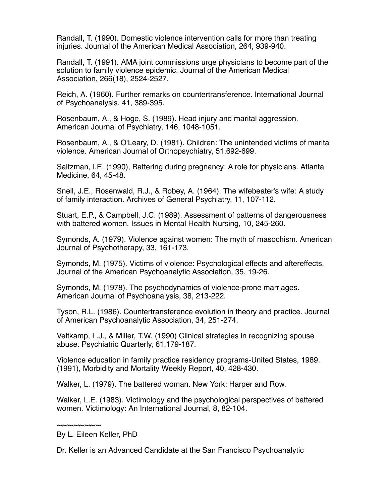Randall, T. (1990). Domestic violence intervention calls for more than treating injuries. Journal of the American Medical Association, 264, 939-940.

Randall, T. (1991). AMA joint commissions urge physicians to become part of the solution to family violence epidemic. Journal of the American Medical Association, 266(18), 2524-2527.

Reich, A. (1960). Further remarks on countertransference. International Journal of Psychoanalysis, 41, 389-395.

Rosenbaum, A., & Hoge, S. (1989). Head injury and marital aggression. American Journal of Psychiatry, 146, 1048-1051.

Rosenbaum, A., & O'Leary, D. (1981). Children: The unintended victims of marital violence. American Journal of Orthopsychiatry, 51,692-699.

Saltzman, I.E. (1990), Battering during pregnancy: A role for physicians. Atlanta Medicine, 64, 45-48.

Snell, J.E., Rosenwald, R.J., & Robey, A. (1964). The wifebeater's wife: A study of family interaction. Archives of General Psychiatry, 11, 107-112.

Stuart, E.P., & Campbell, J.C. (1989). Assessment of patterns of dangerousness with battered women. Issues in Mental Health Nursing, 10, 245-260.

Symonds, A. (1979). Violence against women: The myth of masochism. American Journal of Psychotherapy, 33, 161-173.

Symonds, M. (1975). Victims of violence: Psychological effects and aftereffects. Journal of the American Psychoanalytic Association, 35, 19-26.

Symonds, M. (1978). The psychodynamics of violence-prone marriages. American Journal of Psychoanalysis, 38, 213-222.

Tyson, R.L. (1986). Countertransference evolution in theory and practice. Journal of American Psychoanalytic Association, 34, 251-274.

Veltkamp, L.J., & Miller, T.W. (1990) Clinical strategies in recognizing spouse abuse. Psychiatric Quarterly, 61,179-187.

Violence education in family practice residency programs-United States, 1989. (1991), Morbidity and Mortality Weekly Report, 40, 428-430.

Walker, L. (1979). The battered woman. New York: Harper and Row.

Walker, L.E. (1983). Victimology and the psychological perspectives of battered women. Victimology: An International Journal, 8, 82-104.

<sup>~~~~~~~~</sup> By L. Eileen Keller, PhD

Dr. Keller is an Advanced Candidate at the San Francisco Psychoanalytic